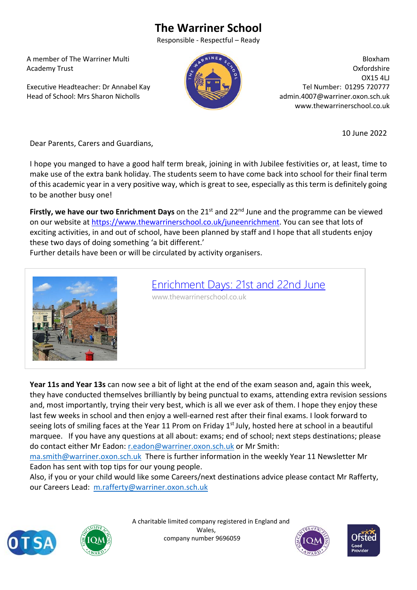## **The Warriner School**

Responsible ‐ Respectful – Ready

 A member of The Warriner Multi Academy Trust

 Executive Headteacher: Dr Annabel Kay Head of School: Mrs Sharon Nicholls



Bloxham Oxfordshire OX15 4LJ Tel Number: 01295 720777 admin.4007@warriner.oxon.sch.uk www.thewarrinerschool.co.uk

10 June 2022

Dear Parents, Carers and Guardians,

I hope you manged to have a good half term break, joining in with Jubilee festivities or, at least, time to make use of the extra bank holiday. The students seem to have come back into school for their final term of this academic year in a very positive way, which is great to see, especially as this term is definitely going to be another busy one!

**Firstly, we have our two Enrichment Days** on the 21<sup>st</sup> and 22<sup>nd</sup> June and the programme can be viewed on our website at https://www.thewarrinerschool.co.uk/juneenrichment. You can see that lots of exciting activities, in and out of school, have been planned by staff and I hope that all students enjoy these two days of doing something 'a bit different.'

Further details have been or will be circulated by activity organisers.



## Enrichment Days: 21st and 22nd June

www.thewarrinerschool.co.uk

**Year 11s and Year 13s** can now see a bit of light at the end of the exam season and, again this week, they have conducted themselves brilliantly by being punctual to exams, attending extra revision sessions and, most importantly, trying their very best, which is all we ever ask of them. I hope they enjoy these last few weeks in school and then enjoy a well-earned rest after their final exams. I look forward to seeing lots of smiling faces at the Year 11 Prom on Friday 1<sup>st</sup> July, hosted here at school in a beautiful marquee. If you have any questions at all about: exams; end of school; next steps destinations; please do contact either Mr Eadon: r.eadon@warriner.oxon.sch.uk or Mr Smith:

ma.smith@warriner.oxon.sch.uk There is further information in the weekly Year 11 Newsletter Mr Eadon has sent with top tips for our young people.

Also, if you or your child would like some Careers/next destinations advice please contact Mr Rafferty, our Careers Lead: m.rafferty@warriner.oxon.sch.uk





 A charitable limited company registered in England and Wales, company number 9696059